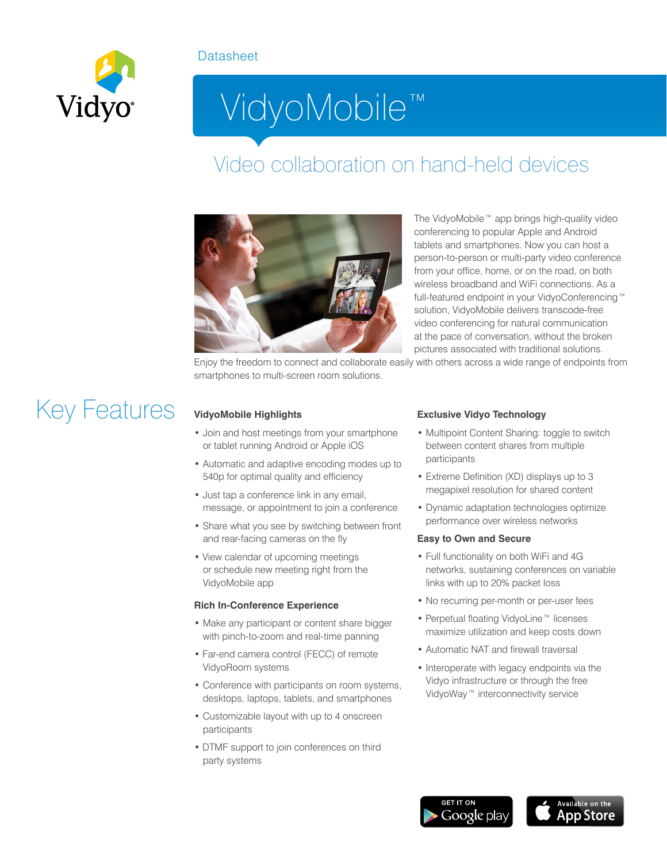#### **Datasheet**



# VidyoMobile™

### Video collaboration on hand-held devices



The VidyoMobile™ app brings high-quality video conferencing to popular Apple and Android tablets and smartphones. Now you can host a person-to-person or multi-party video conference from your office, home, or on the road, on both wireless broadband and WiFi connections. As a full-featured endpoint in your VidyoConferencing™ solution, VidyoMobile delivers transcode-free video conferencing for natural communication at the pace of conversation, without the broken pictures associated with traditional solutions.

Enjoy the freedom to connect and collaborate easily with others across a wide range of endpoints from smartphones to multi-screen room solutions.

## Key Features **VidyoMobile Highlights**

- Join and host meetings from your smartphone or tablet running Android or Apple iOS
- Automatic and adaptive encoding modes up to 540p for optimal quality and efficiency
- Just tap a conference link in any email, message, or appointment to join a conference
- Share what you see by switching between front and rear-facing cameras on the fly
- View calendar of upcoming meetings or schedule new meeting right from the VidyoMobile app

#### **Rich In-Conference Experience**

- Make any participant or content share bigger with pinch-to-zoom and real-time panning
- Far-end camera control (FECC) of remote VidyoRoom systems
- Conference with participants on room systems, desktops, laptops, tablets, and smartphones
- Customizable layout with up to 4 onscreen participants
- DTMF support to join conferences on third party systems

#### **Exclusive Vidyo Technology**

- Multipoint Content Sharing: toggle to switch between content shares from multiple participants
- Extreme Definition (XD) displays up to 3 megapixel resolution for shared content
- Dynamic adaptation technologies optimize performance over wireless networks

#### **Easy to Own and Secure**

- Full functionality on both WiFi and 4G networks, sustaining conferences on variable links with up to 20% packet loss
- No recurring per-month or per-user fees
- Perpetual floating VidyoLine™ licenses maximize utilization and keep costs down
- Automatic NAT and firewall traversal
- Interoperate with legacy endpoints via the Vidyo infrastructure or through the free VidyoWay™ interconnectivity service